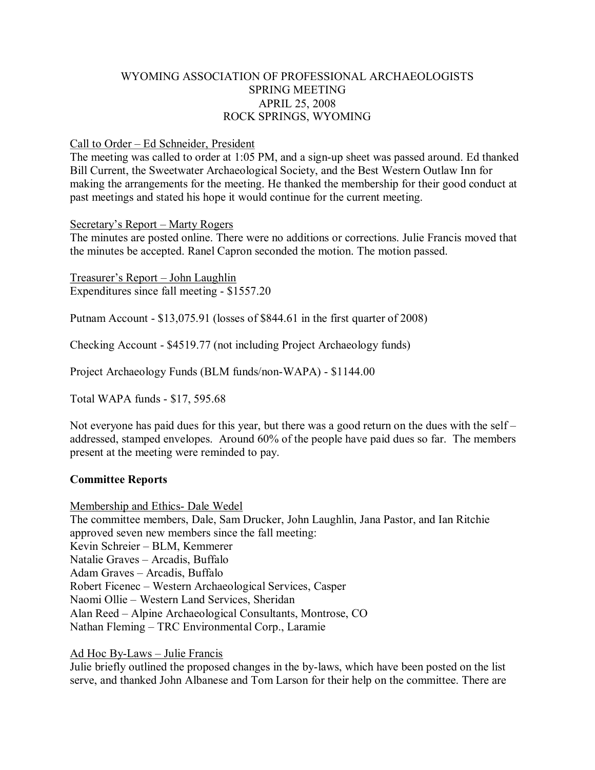## WYOMING ASSOCIATION OF PROFESSIONAL ARCHAEOLOGISTS SPRING MEETING APRIL 25, 2008 ROCK SPRINGS, WYOMING

### Call to Order – Ed Schneider, President

The meeting was called to order at 1:05 PM, and a sign-up sheet was passed around. Ed thanked Bill Current, the Sweetwater Archaeological Society, and the Best Western Outlaw Inn for making the arrangements for the meeting. He thanked the membership for their good conduct at past meetings and stated his hope it would continue for the current meeting.

### Secretary's Report – Marty Rogers

The minutes are posted online. There were no additions or corrections. Julie Francis moved that the minutes be accepted. Ranel Capron seconded the motion. The motion passed.

Treasurer's Report – John Laughlin Expenditures since fall meeting  $-$  \$1557.20

Putnam Account - \$13,075.91 (losses of \$844.61 in the first quarter of 2008)

Checking Account - \$4519.77 (not including Project Archaeology funds)

Project Archaeology Funds (BLM funds/non-WAPA) - \$1144.00

Total WAPA funds - \$17, 595.68

Not everyone has paid dues for this year, but there was a good return on the dues with the self – addressed, stamped envelopes. Around 60% of the people have paid dues so far. The members present at the meeting were reminded to pay.

### **Committee Reports**

Membership and Ethics - Dale Wedel

The committee members, Dale, Sam Drucker, John Laughlin, Jana Pastor, and Ian Ritchie approved seven new members since the fall meeting: Kevin Schreier – BLM, Kemmerer Natalie Graves – Arcadis, Buffalo Adam Graves – Arcadis, Buffalo Robert Ficenec – Western Archaeological Services, Casper Naomi Ollie – Western Land Services, Sheridan Alan Reed – Alpine Archaeological Consultants, Montrose, CO Nathan Fleming – TRC Environmental Corp., Laramie

### Ad Hoc ByLaws – Julie Francis

Julie briefly outlined the proposed changes in the by-laws, which have been posted on the list serve, and thanked John Albanese and Tom Larson for their help on the committee. There are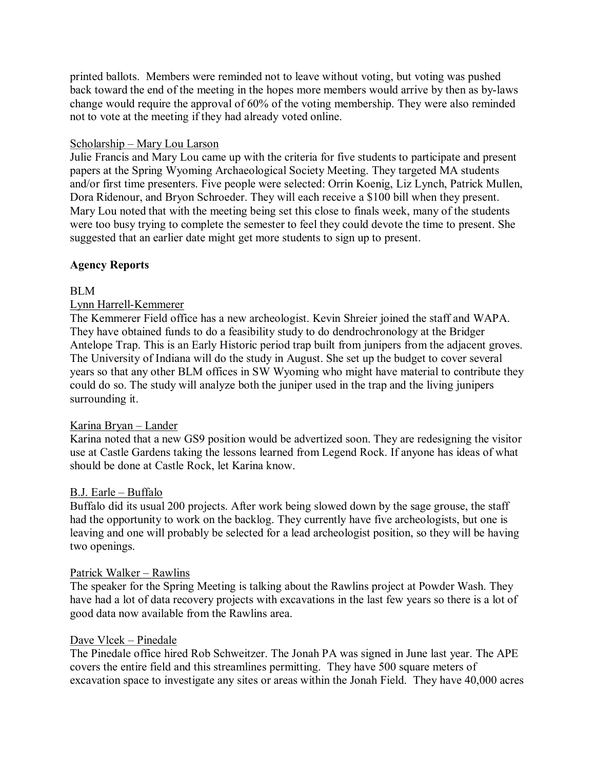printed ballots. Members were reminded not to leave without voting, but voting was pushed back toward the end of the meeting in the hopes more members would arrive by then as by-laws change would require the approval of 60% of the voting membership. They were also reminded not to vote at the meeting if they had already voted online.

## Scholarship – Mary Lou Larson

Julie Francis and Mary Lou came up with the criteria for five students to participate and present papers at the Spring Wyoming Archaeological Society Meeting. They targeted MA students and/or first time presenters. Five people were selected: Orrin Koenig, Liz Lynch, Patrick Mullen, Dora Ridenour, and Bryon Schroeder. They will each receive a \$100 bill when they present. Mary Lou noted that with the meeting being set this close to finals week, many of the students were too busy trying to complete the semester to feel they could devote the time to present. She suggested that an earlier date might get more students to sign up to present.

## **Agency Reports**

## BLM

## Lynn Harrell-Kemmerer

The Kemmerer Field office has a new archeologist. Kevin Shreier joined the staff and WAPA. They have obtained funds to do a feasibility study to do dendrochronology at the Bridger Antelope Trap. This is an Early Historic period trap built from junipers from the adjacent groves. The University of Indiana will do the study in August. She set up the budget to cover several years so that any other BLM offices in SW Wyoming who might have material to contribute they could do so. The study will analyze both the juniper used in the trap and the living junipers surrounding it.

### Karina Bryan – Lander

Karina noted that a new GS9 position would be advertized soon. They are redesigning the visitor use at Castle Gardens taking the lessons learned from Legend Rock. If anyone has ideas of what should be done at Castle Rock, let Karina know.

### B.J. Earle – Buffalo

Buffalo did its usual 200 projects. After work being slowed down by the sage grouse, the staff had the opportunity to work on the backlog. They currently have five archeologists, but one is leaving and one will probably be selected for a lead archeologist position, so they will be having two openings.

### Patrick Walker – Rawlins

The speaker for the Spring Meeting is talking about the Rawlins project at Powder Wash. They have had a lot of data recovery projects with excavations in the last few years so there is a lot of good data now available from the Rawlins area.

#### Dave Vlcek – Pinedale

The Pinedale office hired Rob Schweitzer. The Jonah PA was signed in June last year. The APE covers the entire field and this streamlines permitting. They have 500 square meters of excavation space to investigate any sites or areas within the Jonah Field. They have 40,000 acres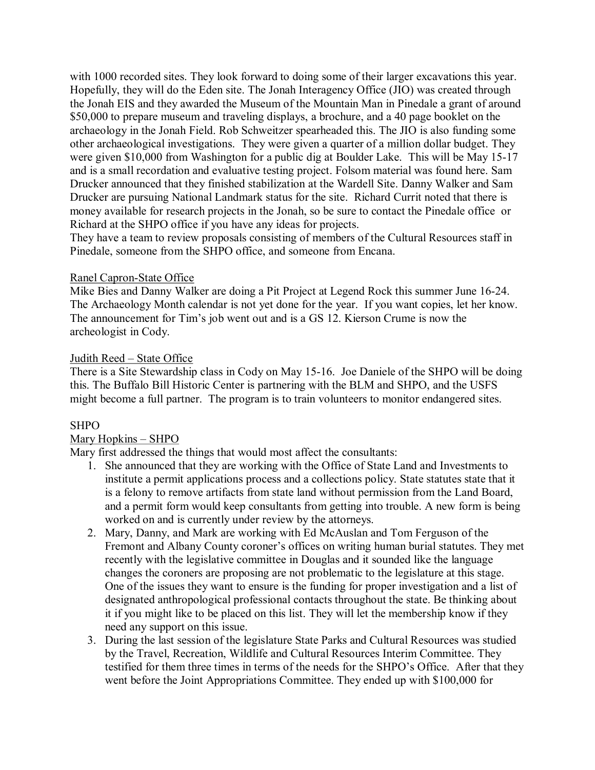with 1000 recorded sites. They look forward to doing some of their larger excavations this year. Hopefully, they will do the Eden site. The Jonah Interagency Office (JIO) was created through the Jonah EIS and they awarded the Museum of the Mountain Man in Pinedale a grant of around \$50,000 to prepare museum and traveling displays, a brochure, and a 40 page booklet on the archaeology in the Jonah Field. Rob Schweitzer spearheaded this. The JIO is also funding some other archaeological investigations. They were given a quarter of a million dollar budget. They were given \$10,000 from Washington for a public dig at Boulder Lake. This will be May 15-17 and is a small recordation and evaluative testing project. Folsom material was found here. Sam Drucker announced that they finished stabilization at the Wardell Site. Danny Walker and Sam Drucker are pursuing National Landmark status for the site. Richard Currit noted that there is money available for research projects in the Jonah, so be sure to contact the Pinedale office or Richard at the SHPO office if you have any ideas for projects.

They have a team to review proposals consisting of members of the Cultural Resources staff in Pinedale, someone from the SHPO office, and someone from Encana.

### Ranel Capron-State Office

Mike Bies and Danny Walker are doing a Pit Project at Legend Rock this summer June 1624. The Archaeology Month calendar is not yet done for the year. If you want copies, let her know. The announcement for Tim's job went out and is a GS 12. Kierson Crume is now the archeologist in Cody.

## Judith Reed – State Office

There is a Site Stewardship class in Cody on May 15-16. Joe Daniele of the SHPO will be doing this. The Buffalo Bill Historic Center is partnering with the BLM and SHPO, and the USFS might become a full partner. The program is to train volunteers to monitor endangered sites.

## SHPO

## Mary Hopkins – SHPO

Mary first addressed the things that would most affect the consultants:

- 1. She announced that they are working with the Office of State Land and Investments to institute a permit applications process and a collections policy. State statutes state that it is a felony to remove artifacts from state land without permission from the Land Board, and a permit form would keep consultants from getting into trouble. A new form is being worked on and is currently under review by the attorneys.
- 2. Mary, Danny, and Mark are working with Ed McAuslan and Tom Ferguson of the Fremont and Albany County coroner's offices on writing human burial statutes. They met recently with the legislative committee in Douglas and it sounded like the language changes the coroners are proposing are not problematic to the legislature at this stage. One of the issues they want to ensure is the funding for proper investigation and a list of designated anthropological professional contacts throughout the state. Be thinking about it if you might like to be placed on this list. They will let the membership know if they need any support on this issue.
- 3. During the last session of the legislature State Parks and Cultural Resources was studied by the Travel, Recreation, Wildlife and Cultural Resources Interim Committee. They testified for them three times in terms of the needs for the SHPO's Office. After that they went before the Joint Appropriations Committee. They ended up with \$100,000 for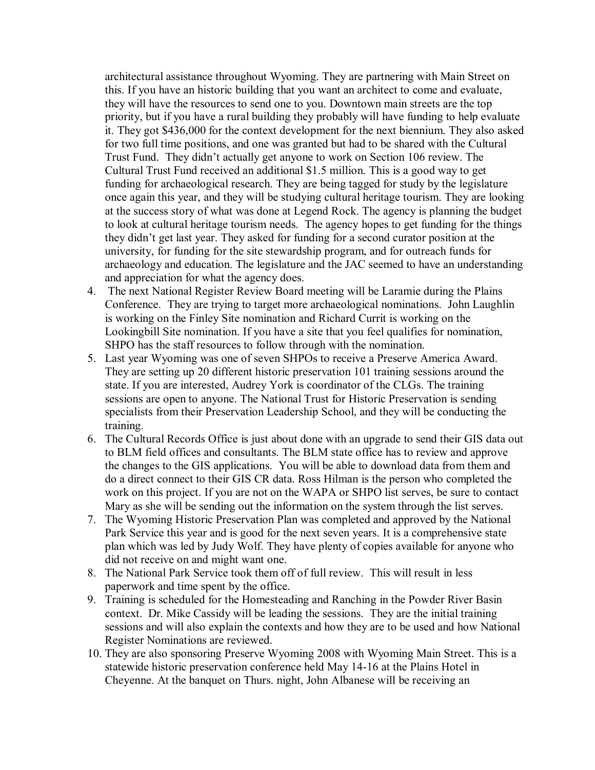architectural assistance throughout Wyoming. They are partnering with Main Street on this. If you have an historic building that you want an architect to come and evaluate, they will have the resources to send one to you. Downtown main streets are the top priority, but if you have a rural building they probably will have funding to help evaluate it. They got \$436,000 for the context development for the next biennium. They also asked for two full time positions, and one was granted but had to be shared with the Cultural Trust Fund. They didn't actually get anyone to work on Section 106 review. The Cultural Trust Fund received an additional \$1.5 million. This is a good way to get funding for archaeological research. They are being tagged for study by the legislature once again this year, and they will be studying cultural heritage tourism. They are looking at the success story of what was done at Legend Rock. The agency is planning the budget to look at cultural heritage tourism needs. The agency hopes to get funding for the things they didn't get last year. They asked for funding for a second curator position at the university, for funding for the site stewardship program, and for outreach funds for archaeology and education. The legislature and the JAC seemed to have an understanding and appreciation for what the agency does.

- 4. The next National Register Review Board meeting will be Laramie during the Plains Conference. They are trying to target more archaeological nominations. John Laughlin is working on the Finley Site nomination and Richard Currit is working on the Lookingbill Site nomination. If you have a site that you feel qualifies for nomination, SHPO has the staff resources to follow through with the nomination.
- 5. Last year Wyoming was one of seven SHPOs to receive a Preserve America Award. They are setting up 20 different historic preservation 101 training sessions around the state. If you are interested, Audrey York is coordinator of the CLGs. The training sessions are open to anyone. The National Trust for Historic Preservation is sending specialists from their Preservation Leadership School, and they will be conducting the training.
- 6. The Cultural Records Office is just about done with an upgrade to send their GIS data out to BLM field offices and consultants. The BLM state office has to review and approve the changes to the GIS applications. You will be able to download data from them and do a direct connect to their GIS CR data. Ross Hilman is the person who completed the work on this project. If you are not on the WAPA or SHPO list serves, be sure to contact Mary as she will be sending out the information on the system through the list serves.
- 7. The Wyoming Historic Preservation Plan was completed and approved by the National Park Service this year and is good for the next seven years. It is a comprehensive state plan which was led by Judy Wolf. They have plenty of copies available for anyone who did not receive on and might want one.
- 8. The National Park Service took them off of full review. This will result in less paperwork and time spent by the office.
- 9. Training is scheduled for the Homesteading and Ranching in the Powder River Basin context. Dr. Mike Cassidy will be leading the sessions. They are the initial training sessions and will also explain the contexts and how they are to be used and how National Register Nominations are reviewed.
- 10. They are also sponsoring Preserve Wyoming 2008 with Wyoming Main Street. This is a statewide historic preservation conference held May 14-16 at the Plains Hotel in Cheyenne. At the banquet on Thurs. night, John Albanese will be receiving an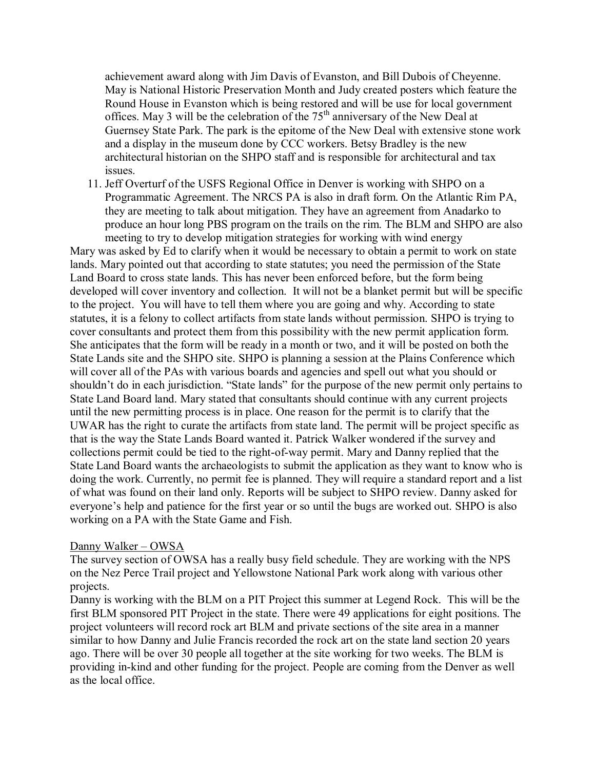achievement award along with Jim Davis of Evanston, and Bill Dubois of Cheyenne. May is National Historic Preservation Month and Judy created posters which feature the Round House in Evanston which is being restored and will be use for local government offices. May 3 will be the celebration of the  $75<sup>th</sup>$  anniversary of the New Deal at Guernsey State Park. The park is the epitome of the New Deal with extensive stone work and a display in the museum done by CCC workers. Betsy Bradley is the new architectural historian on the SHPO staff and is responsible for architectural and tax issues.

11. Jeff Overturf of the USFS Regional Office in Denver is working with SHPO on a Programmatic Agreement. The NRCS PA is also in draft form. On the Atlantic Rim PA, they are meeting to talk about mitigation. They have an agreement from Anadarko to produce an hour long PBS program on the trails on the rim. The BLM and SHPO are also meeting to try to develop mitigation strategies for working with wind energy

Mary was asked by Ed to clarify when it would be necessary to obtain a permit to work on state lands. Mary pointed out that according to state statutes; you need the permission of the State Land Board to cross state lands. This has never been enforced before, but the form being developed will cover inventory and collection. It will not be a blanket permit but will be specific to the project. You will have to tell them where you are going and why. According to state statutes, it is a felony to collect artifacts from state lands without permission. SHPO is trying to cover consultants and protect them from this possibility with the new permit application form. She anticipates that the form will be ready in a month or two, and it will be posted on both the State Lands site and the SHPO site. SHPO is planning a session at the Plains Conference which will cover all of the PAs with various boards and agencies and spell out what you should or shouldn't do in each jurisdiction. "State lands" for the purpose of the new permit only pertains to State Land Board land. Mary stated that consultants should continue with any current projects until the new permitting process is in place. One reason for the permit is to clarify that the UWAR has the right to curate the artifacts from state land. The permit will be project specific as that is the way the State Lands Board wanted it. Patrick Walker wondered if the survey and collections permit could be tied to the right-of-way permit. Mary and Danny replied that the State Land Board wants the archaeologists to submit the application as they want to know who is doing the work. Currently, no permit fee is planned. They will require a standard report and a list of what was found on their land only. Reports will be subject to SHPO review. Danny asked for everyone's help and patience for the first year or so until the bugs are worked out. SHPO is also working on a PA with the State Game and Fish.

### Danny Walker – OWSA

The survey section of OWSA has a really busy field schedule. They are working with the NPS on the Nez Perce Trail project and Yellowstone National Park work along with various other projects.

Danny is working with the BLM on a PIT Project this summer at Legend Rock. This will be the first BLM sponsored PIT Project in the state. There were 49 applications for eight positions. The project volunteers will record rock art BLM and private sections of the site area in a manner similar to how Danny and Julie Francis recorded the rock art on the state land section 20 years ago. There will be over 30 people all together at the site working for two weeks. The BLM is providing in-kind and other funding for the project. People are coming from the Denver as well as the local office.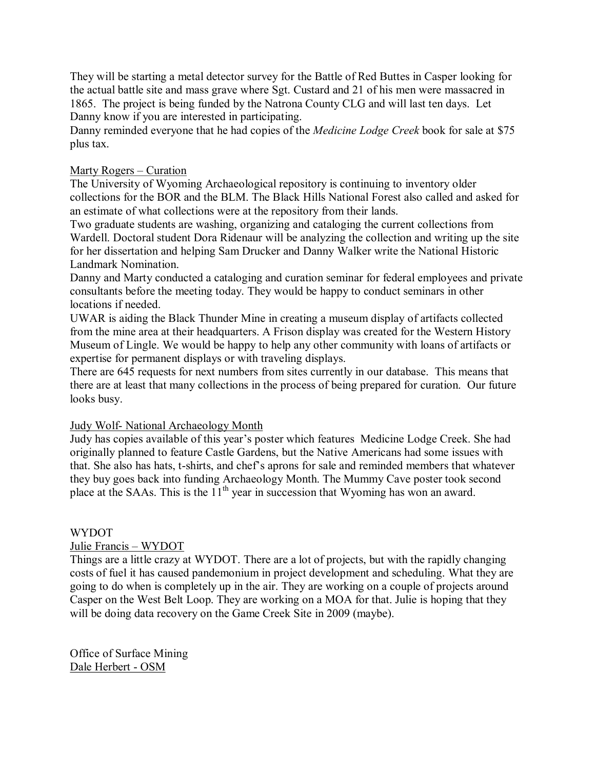They will be starting a metal detector survey for the Battle of Red Buttes in Casper looking for the actual battle site and mass grave where Sgt. Custard and 21 of his men were massacred in 1865. The project is being funded by the Natrona County CLG and will last ten days. Let Danny know if you are interested in participating.

Danny reminded everyone that he had copies of the *Medicine Lodge Creek* book for sale at \$75 plus tax.

## Marty Rogers – Curation

The University of Wyoming Archaeological repository is continuing to inventory older collections for the BOR and the BLM. The Black Hills National Forest also called and asked for an estimate of what collections were at the repository from their lands.

Two graduate students are washing, organizing and cataloging the current collections from Wardell. Doctoral student Dora Ridenaur will be analyzing the collection and writing up the site for her dissertation and helping Sam Drucker and Danny Walker write the National Historic Landmark Nomination.

Danny and Marty conducted a cataloging and curation seminar for federal employees and private consultants before the meeting today. They would be happy to conduct seminars in other locations if needed.

UWAR is aiding the Black Thunder Mine in creating a museum display of artifacts collected from the mine area at their headquarters. A Frison display was created for the Western History Museum of Lingle. We would be happy to help any other community with loans of artifacts or expertise for permanent displays or with traveling displays.

There are 645 requests for next numbers from sites currently in our database. This means that there are at least that many collections in the process of being prepared for curation. Our future looks busy.

### Judy Wolf- National Archaeology Month

Judy has copies available of this year's poster which features Medicine Lodge Creek. She had originally planned to feature Castle Gardens, but the Native Americans had some issues with that. She also has hats, t-shirts, and chef's aprons for sale and reminded members that whatever they buy goes back into funding Archaeology Month. The Mummy Cave poster took second place at the SAAs. This is the 11<sup>th</sup> year in succession that Wyoming has won an award.

### WYDOT

Julie Francis – WYDOT

Things are a little crazy at WYDOT. There are a lot of projects, but with the rapidly changing costs of fuel it has caused pandemonium in project development and scheduling. What they are going to do when is completely up in the air. They are working on a couple of projects around Casper on the West Belt Loop. They are working on a MOA for that. Julie is hoping that they will be doing data recovery on the Game Creek Site in 2009 (maybe).

Office of Surface Mining Dale Herbert - OSM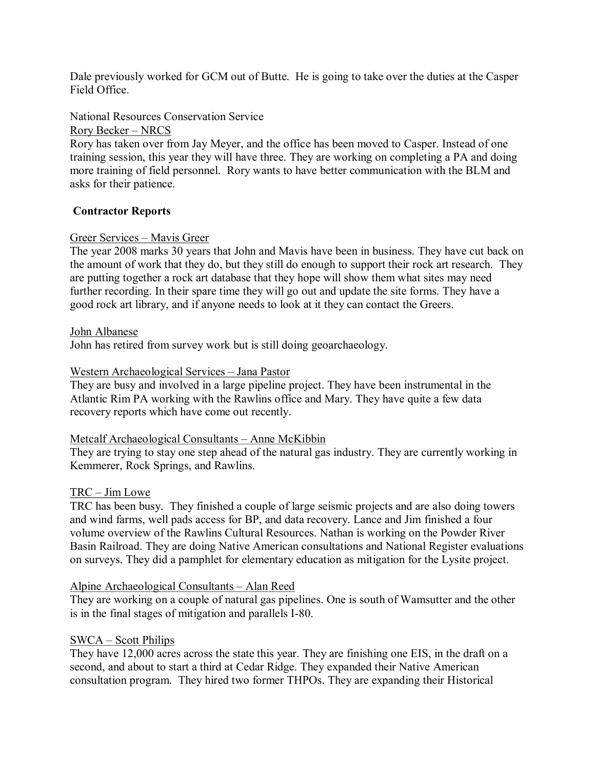Dale previously worked for GCM out of Butte. He is going to take over the duties at the Casper Field Office.

National Resources Conservation Service

Rory Becker – NRCS

Rory has taken over from Jay Meyer, and the office has been moved to Casper. Instead of one training session, this year they will have three. They are working on completing a PA and doing more training of field personnel. Rory wants to have better communication with the BLM and asks for their patience.

## **Contractor Reports**

## Greer Services – Mavis Greer

The year 2008 marks 30 years that John and Mavis have been in business. They have cut back on the amount of work that they do, but they still do enough to support their rock art research. They are putting together a rock art database that they hope will show them what sites may need further recording. In their spare time they will go out and update the site forms. They have a good rock art library, and if anyone needs to look at it they can contact the Greers.

### John Albanese

John has retired from survey work but is still doing geoarchaeology.

## Western Archaeological Services – Jana Pastor

They are busy and involved in a large pipeline project. They have been instrumental in the Atlantic Rim PA working with the Rawlins office and Mary. They have quite a few data recovery reports which have come out recently.

### Metcalf Archaeological Consultants – Anne McKibbin

They are trying to stay one step ahead of the natural gas industry. They are currently working in Kemmerer, Rock Springs, and Rawlins.

### TRC – Jim Lowe

TRC has been busy. They finished a couple of large seismic projects and are also doing towers and wind farms, well pads access for BP, and data recovery. Lance and Jim finished a four volume overview of the Rawlins Cultural Resources. Nathan is working on the Powder River Basin Railroad. They are doing Native American consultations and National Register evaluations on surveys. They did a pamphlet for elementary education as mitigation for the Lysite project.

### Alpine Archaeological Consultants – Alan Reed

They are working on a couple of natural gas pipelines. One is south of Wamsutter and the other is in the final stages of mitigation and parallels I-80.

### SWCA – Scott Philips

They have 12,000 acres across the state this year. They are finishing one EIS, in the draft on a second, and about to start a third at Cedar Ridge. They expanded their Native American consultation program. They hired two former THPOs. They are expanding their Historical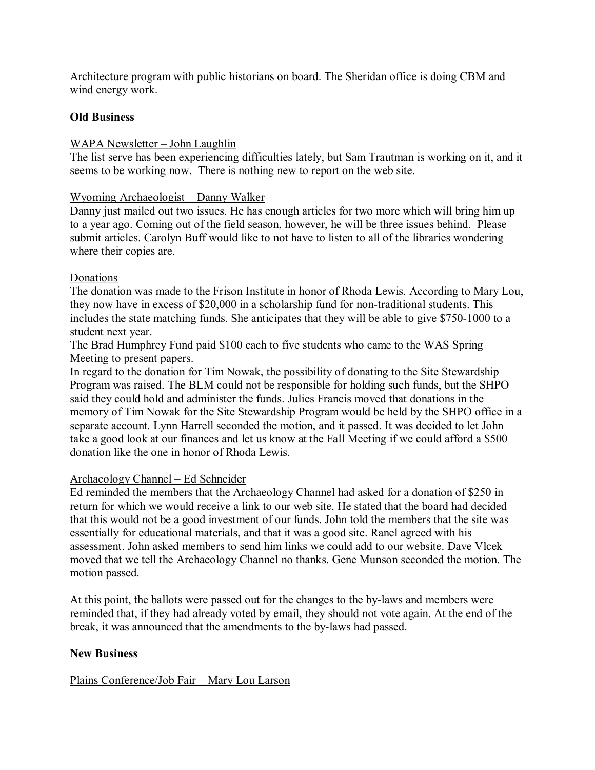Architecture program with public historians on board. The Sheridan office is doing CBM and wind energy work.

### **Old Business**

## WAPA Newsletter – John Laughlin

The list serve has been experiencing difficulties lately, but Sam Trautman is working on it, and it seems to be working now. There is nothing new to report on the web site.

### Wyoming Archaeologist – Danny Walker

Danny just mailed out two issues. He has enough articles for two more which will bring him up to a year ago. Coming out of the field season, however, he will be three issues behind. Please submit articles. Carolyn Buff would like to not have to listen to all of the libraries wondering where their copies are.

## Donations

The donation was made to the Frison Institute in honor of Rhoda Lewis. According to Mary Lou, they now have in excess of \$20,000 in a scholarship fund for non-traditional students. This includes the state matching funds. She anticipates that they will be able to give \$750-1000 to a student next year.

The Brad Humphrey Fund paid \$100 each to five students who came to the WAS Spring Meeting to present papers.

In regard to the donation for Tim Nowak, the possibility of donating to the Site Stewardship Program was raised. The BLM could not be responsible for holding such funds, but the SHPO said they could hold and administer the funds. Julies Francis moved that donations in the memory of Tim Nowak for the Site Stewardship Program would be held by the SHPO office in a separate account. Lynn Harrell seconded the motion, and it passed. It was decided to let John take a good look at our finances and let us know at the Fall Meeting if we could afford a \$500 donation like the one in honor of Rhoda Lewis.

## Archaeology Channel – Ed Schneider

Ed reminded the members that the Archaeology Channel had asked for a donation of \$250 in return for which we would receive a link to our web site. He stated that the board had decided that this would not be a good investment of our funds. John told the members that the site was essentially for educational materials, and that it was a good site. Ranel agreed with his assessment. John asked members to send him links we could add to our website. Dave Vlcek moved that we tell the Archaeology Channel no thanks. Gene Munson seconded the motion. The motion passed.

At this point, the ballots were passed out for the changes to the by-laws and members were reminded that, if they had already voted by email, they should not vote again. At the end of the break, it was announced that the amendments to the by-laws had passed.

## **New Business**

Plains Conference/Job Fair – Mary Lou Larson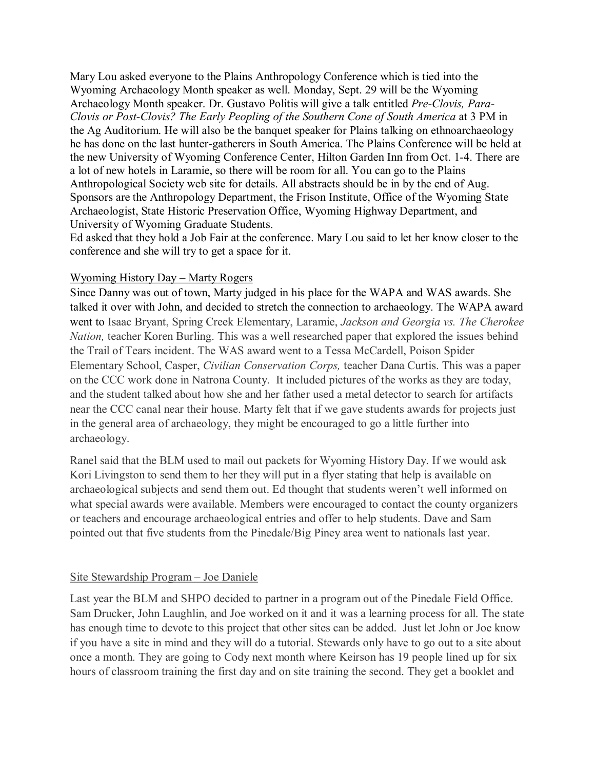Mary Lou asked everyone to the Plains Anthropology Conference which is tied into the Wyoming Archaeology Month speaker as well. Monday, Sept. 29 will be the Wyoming Archaeology Month speaker. Dr. Gustavo Politis will give a talk entitled *Pre-Clovis, Para-Clovis or Post-Clovis? The Early Peopling of the Southern Cone of South America* at 3 PM in the Ag Auditorium. He will also be the banquet speaker for Plains talking on ethnoarchaeology he has done on the last hunter-gatherers in South America. The Plains Conference will be held at the new University of Wyoming Conference Center, Hilton Garden Inn from Oct. 1-4. There are a lot of new hotels in Laramie, so there will be room for all. You can go to the Plains Anthropological Society web site for details. All abstracts should be in by the end of Aug. Sponsors are the Anthropology Department, the Frison Institute, Office of the Wyoming State Archaeologist, State Historic Preservation Office, Wyoming Highway Department, and University of Wyoming Graduate Students.

Ed asked that they hold a Job Fair at the conference. Mary Lou said to let her know closer to the conference and she will try to get a space for it.

## Wyoming History Day – Marty Rogers

Since Danny was out of town, Marty judged in his place for the WAPA and WAS awards. She talked it over with John, and decided to stretch the connection to archaeology. The WAPA award went to Isaac Bryant, Spring Creek Elementary, Laramie, *Jackson and Georgia vs. The Cherokee Nation,* teacher Koren Burling. This was a well researched paper that explored the issues behind the Trail of Tears incident. The WAS award went to a Tessa McCardell, Poison Spider Elementary School, Casper, *Civilian Conservation Corps,* teacher Dana Curtis. This was a paper on the CCC work done in Natrona County. It included pictures of the works as they are today, and the student talked about how she and her father used a metal detector to search for artifacts near the CCC canal near their house. Marty felt that if we gave students awards for projects just in the general area of archaeology, they might be encouraged to go a little further into archaeology.

Ranel said that the BLM used to mail out packets for Wyoming History Day. If we would ask Kori Livingston to send them to her they will put in a flyer stating that help is available on archaeological subjects and send them out. Ed thought that students weren't well informed on what special awards were available. Members were encouraged to contact the county organizers or teachers and encourage archaeological entries and offer to help students. Dave and Sam pointed out that five students from the Pinedale/Big Piney area went to nationals last year.

### Site Stewardship Program – Joe Daniele

Last year the BLM and SHPO decided to partner in a program out of the Pinedale Field Office. Sam Drucker, John Laughlin, and Joe worked on it and it was a learning process for all. The state has enough time to devote to this project that other sites can be added. Just let John or Joe know if you have a site in mind and they will do a tutorial. Stewards only have to go out to a site about once a month. They are going to Cody next month where Keirson has 19 people lined up for six hours of classroom training the first day and on site training the second. They get a booklet and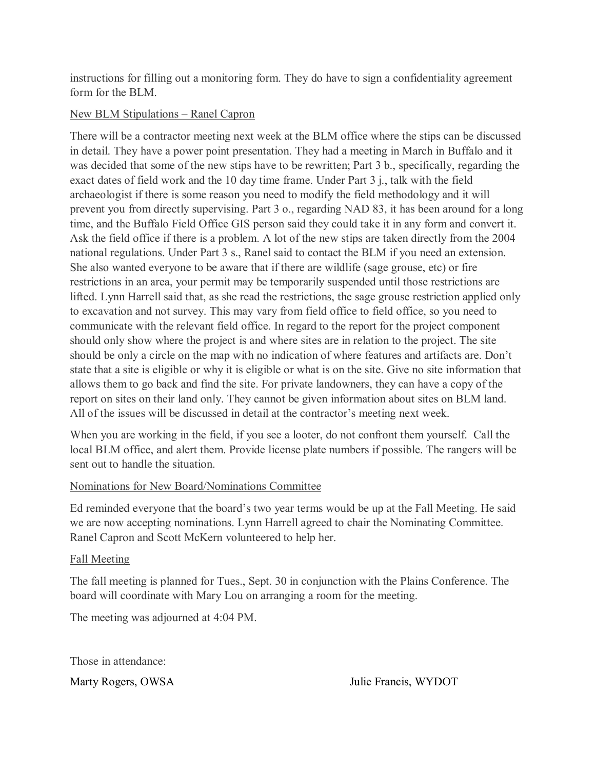instructions for filling out a monitoring form. They do have to sign a confidentiality agreement form for the BLM

## New BLM Stipulations – Ranel Capron

There will be a contractor meeting next week at the BLM office where the stips can be discussed in detail. They have a power point presentation. They had a meeting in March in Buffalo and it was decided that some of the new stips have to be rewritten; Part 3 b., specifically, regarding the exact dates of field work and the 10 day time frame. Under Part 3 j., talk with the field archaeologist if there is some reason you need to modify the field methodology and it will prevent you from directly supervising. Part 3 o., regarding NAD 83, it has been around for a long time, and the Buffalo Field Office GIS person said they could take it in any form and convert it. Ask the field office if there is a problem. A lot of the new stips are taken directly from the 2004 national regulations. Under Part 3 s., Ranel said to contact the BLM if you need an extension. She also wanted everyone to be aware that if there are wildlife (sage grouse, etc) or fire restrictions in an area, your permit may be temporarily suspended until those restrictions are lifted. Lynn Harrell said that, as she read the restrictions, the sage grouse restriction applied only to excavation and not survey. This may vary from field office to field office, so you need to communicate with the relevant field office. In regard to the report for the project component should only show where the project is and where sites are in relation to the project. The site should be only a circle on the map with no indication of where features and artifacts are. Don't state that a site is eligible or why it is eligible or what is on the site. Give no site information that allows them to go back and find the site. For private landowners, they can have a copy of the report on sites on their land only. They cannot be given information about sites on BLM land. All of the issues will be discussed in detail at the contractor's meeting next week.

When you are working in the field, if you see a looter, do not confront them yourself. Call the local BLM office, and alert them. Provide license plate numbers if possible. The rangers will be sent out to handle the situation.

# Nominations for New Board/Nominations Committee

Ed reminded everyone that the board's two year terms would be up at the Fall Meeting. He said we are now accepting nominations. Lynn Harrell agreed to chair the Nominating Committee. Ranel Capron and Scott McKern volunteered to help her.

## Fall Meeting

The fall meeting is planned for Tues., Sept. 30 in conjunction with the Plains Conference. The board will coordinate with Mary Lou on arranging a room for the meeting.

The meeting was adjourned at 4:04 PM.

Those in attendance: